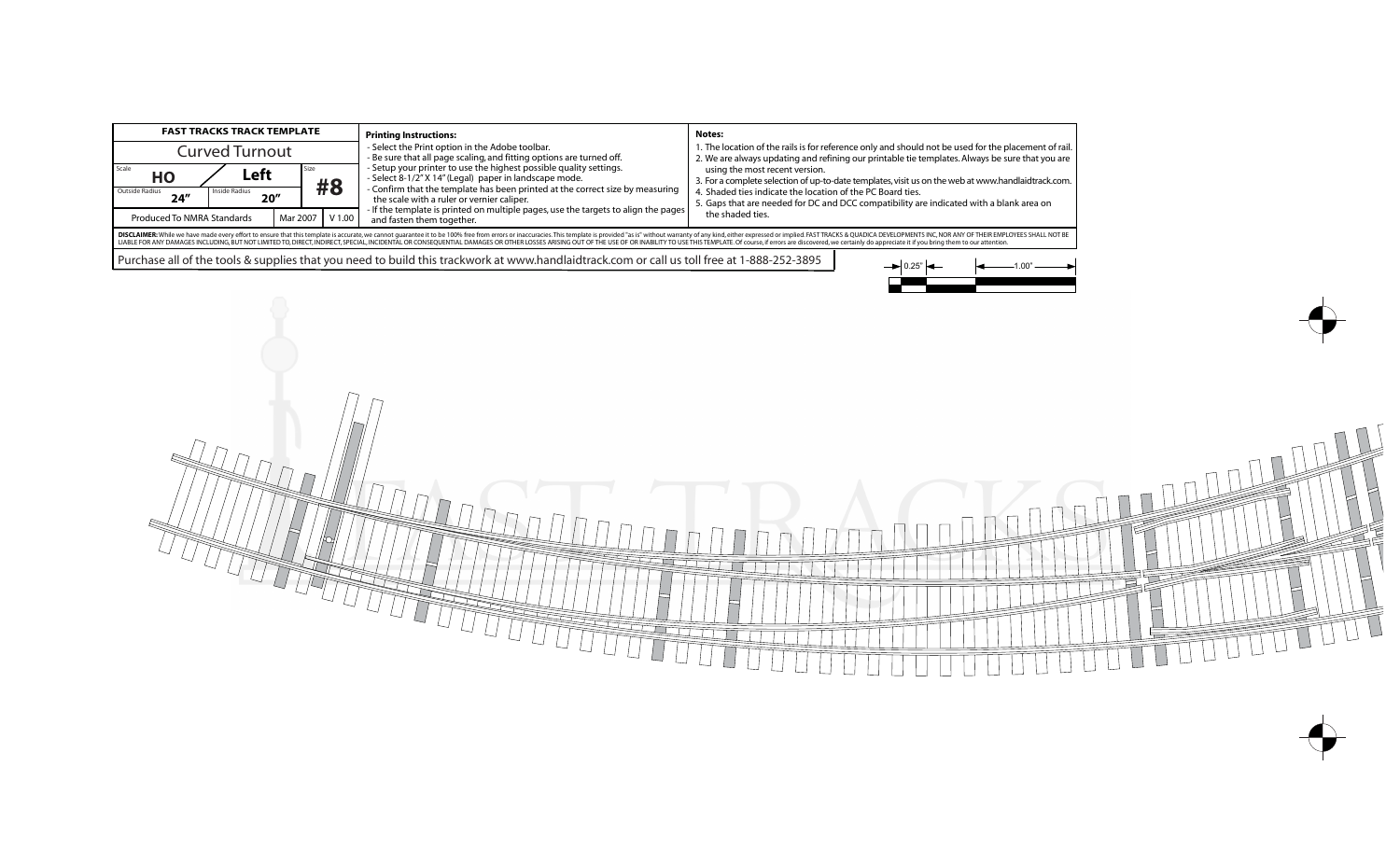